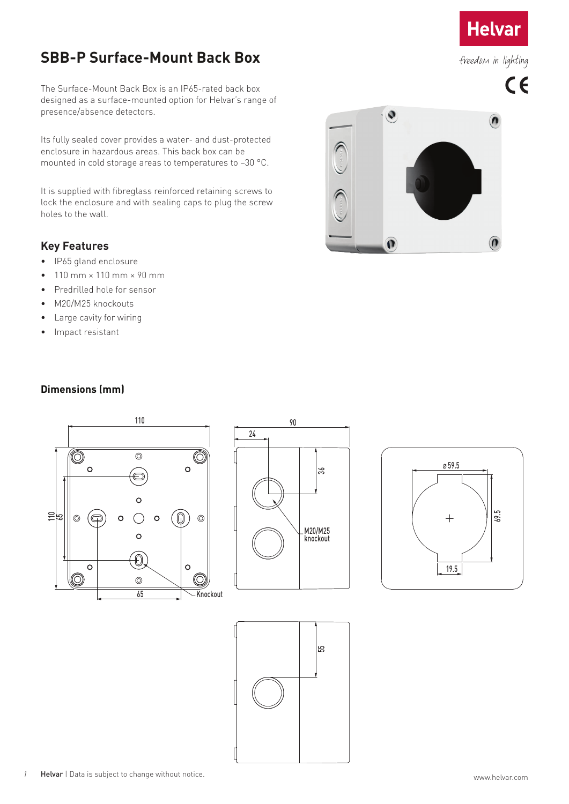## **Helvar**

## freedom in lighting

# $C<sub>f</sub>$

## **SBB-P Surface-Mount Back Box**

The Surface-Mount Back Box is an IP65-rated back box designed as a surface-mounted option for Helvar's range of presence/absence detectors.

Its fully sealed cover provides a water- and dust-protected enclosure in hazardous areas. This back box can be mounted in cold storage areas to temperatures to –30 °C.

It is supplied with fibreglass reinforced retaining screws to lock the enclosure and with sealing caps to plug the screw holes to the wall.

#### **Key Features**

- IP65 gland enclosure
- $\bullet$  110 mm  $\times$  110 mm  $\times$  90 mm
- Predrilled hole for sensor
- M20/M25 knockouts
- Large cavity for wiring
- Impact resistant



#### **Dimensions (mm)**